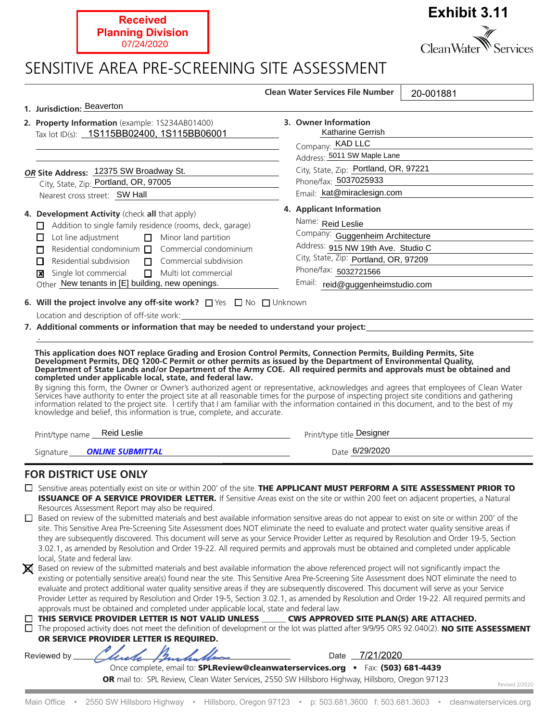

## *ONLINE SUBMITTAL* Date 6/29/2020 Signature

## **FOR DISTRICT USE ONLY**

 $\Box$  Sensitive areas potentially exist on site or within 200' of the site. **THE APPLICANT MUST PERFORM A SITE ASSESSMENT PRIOR TO ISSUANCE OF A SERVICE PROVIDER LETTER.** If Sensitive Areas exist on the site or within 200 feet on adjacent properties, a Natural Resources Assessment Report may also be required.

□ Based on review of the submitted materials and best available information sensitive areas do not appear to exist on site or within 200' of the site. This Sensitive Area Pre-Screening Site Assessment does NOT eliminate the need to evaluate and protect water quality sensitive areas if they are subsequently discovered. This document will serve as your Service Provider Letter as required by Resolution and Order 19-5, Section 3.02.1, as amended by Resolution and Order 19-22. All required permits and approvals must be obtained and completed under applicable local. State and federal law.

Based on review of the submitted materials and best available information the above referenced project will not significantly impact the existing or potentially sensitive area(s) found near the site. This Sensitive Area Pre-Screening Site Assessment does NOT eliminate the need to evaluate and protect additional water quality sensitive areas if they are subsequently discovered. This document will serve as your Service Provider Letter as required by Resolution and Order 19-5, Section 3.02.1, as amended by Resolution and Order 19-22. All required permits and approvals must be obtained and completed under applicable local, state and federal law.

| $\Box$ THIS SERVICE PROVIDER LETTER IS NOT VALID UNLESS | <b>CWS APPROVED SITE PLAN(S) ARE ATTACHED.</b> |  |
|---------------------------------------------------------|------------------------------------------------|--|
|                                                         |                                                |  |

 $\Box$  The proposed activity does not meet the definition of development or the lot was platted after 9/9/95 ORS 92.040(2). NO SITE ASSESSMENT OR SERVICE PROVIDER LETTER IS REOUIRED.

Reviewed by

Date 7/21/2020

Once complete, email to: SPLReview@cleanwaterservices.org •Fax: (503) 681-4439 OR mail to: SPL Review, Clean Water Services, 2550 SW Hillsboro Highway, Hillsboro, Oregon 97123